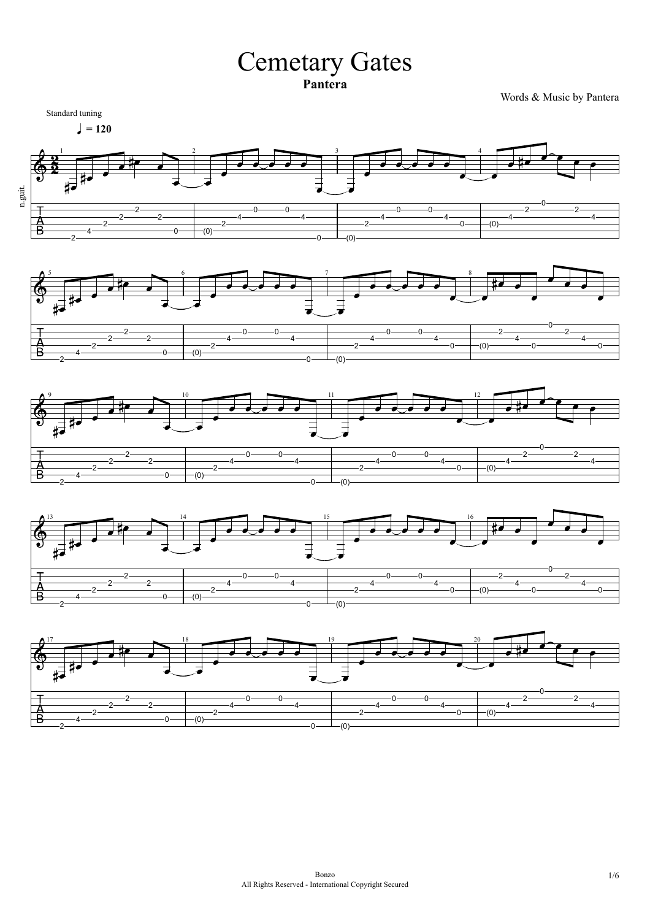## Cemetary Gates **Pantera**

Words & Music by Pantera

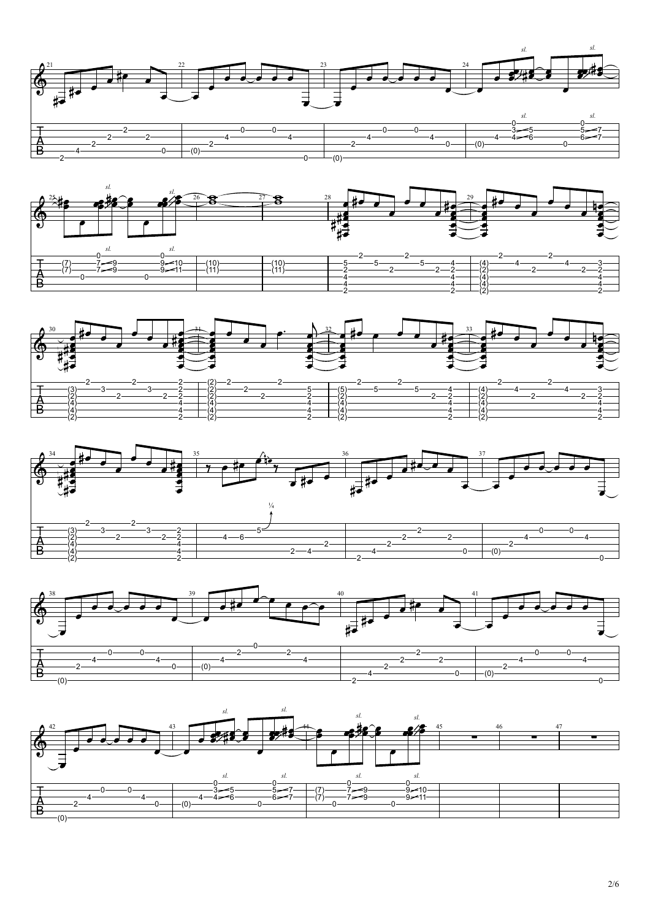









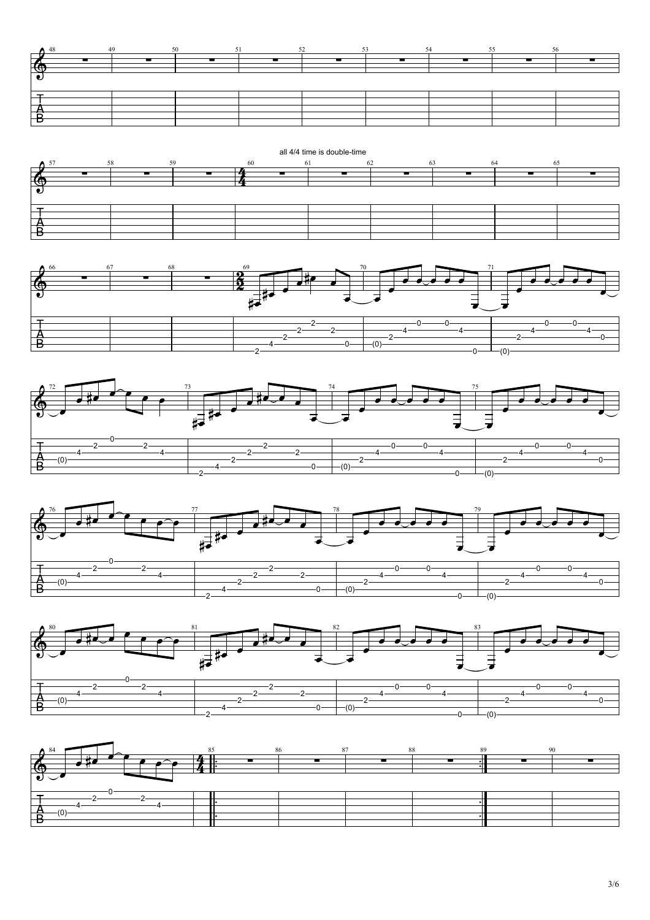











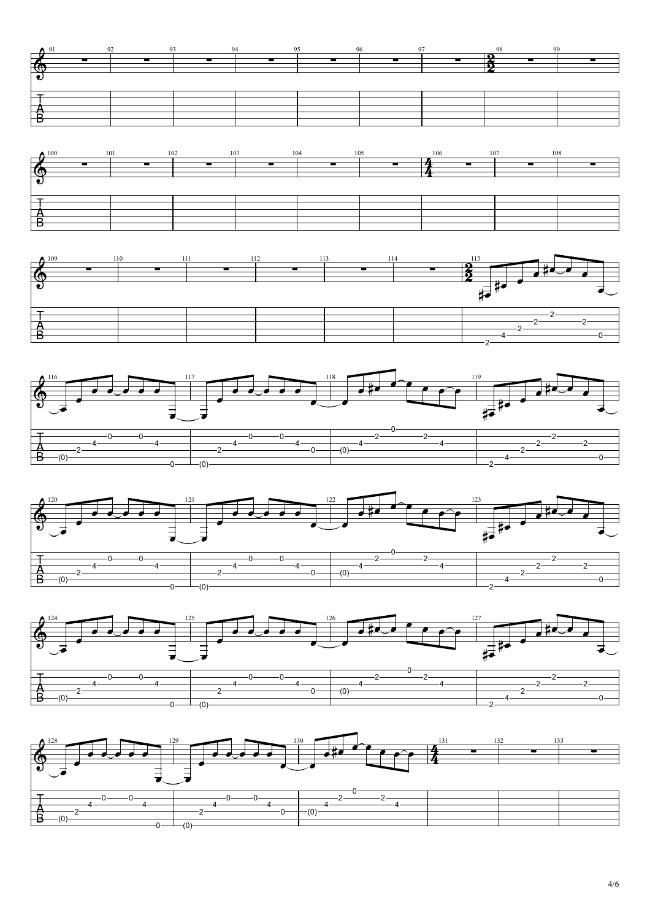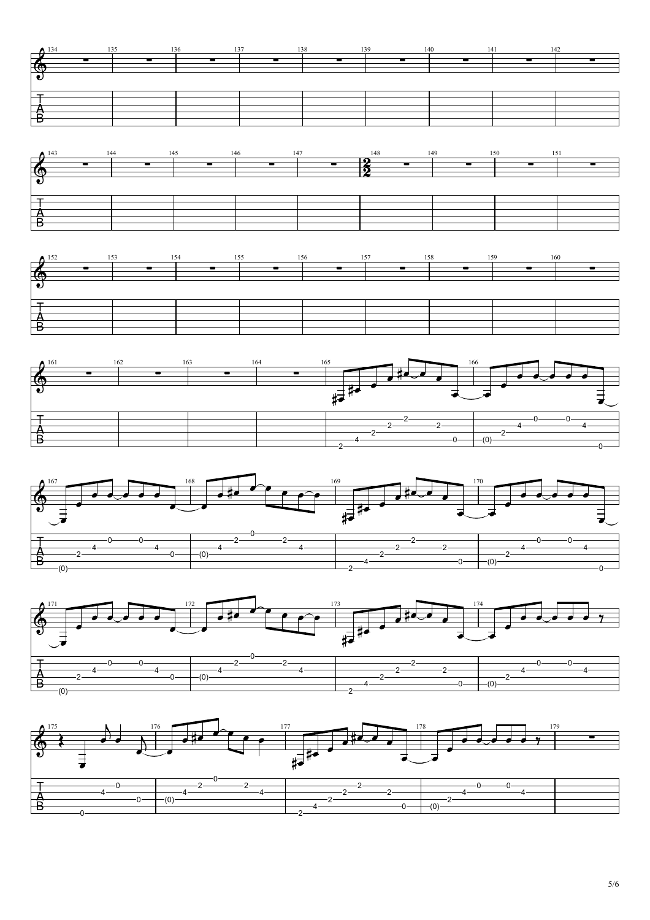